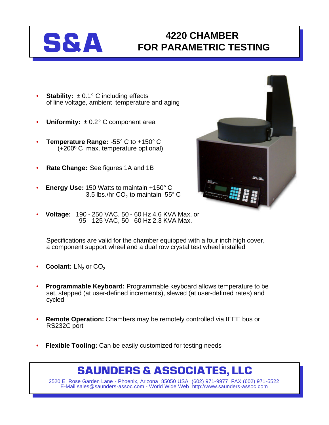## **S&A 4220 CHAMBER FOR PARAMETRIC TESTING**

- **Stability:**  $\pm 0.1^\circ$  C including effects of line voltage, ambient temperature and aging
- **Uniformity:** ± 0.2° C component area
- **Temperature Range:** -55° C to +150° C (+200º C max. temperature optional)
- **Rate Change:** See figures 1A and 1B
- **Energy Use:** 150 Watts to maintain +150° C 3.5 lbs./hr CO $_2$  to maintain -55° C
- **Voltage:** 190 250 VAC, 50 60 Hz 4.6 KVA Max. or 95 - 125 VAC, 50 - 60 Hz 2.3 KVA Max.

Specifications are valid for the chamber equipped with a four inch high cover, a component support wheel and a dual row crystal test wheel installed

- **Coolant:** LN<sub>2</sub> or CO<sub>2</sub>
- **Programmable Keyboard:** Programmable keyboard allows temperature to be set, stepped (at user-defined increments), slewed (at user-defined rates) and cycled
- **Remote Operation:** Chambers may be remotely controlled via IEEE bus or RS232C port
- **Flexible Tooling:** Can be easily customized for testing needs

## **SAUNDERS & ASSOCIATES, LLC**

2520 E. Rose Garden Lane - Phoenix, Arizona 85050 USA (602) 971-9977 FAX (602) 971-5522 E-Mail sales@saunders-assoc.com - World Wide Web http://www.saunders-assoc.com